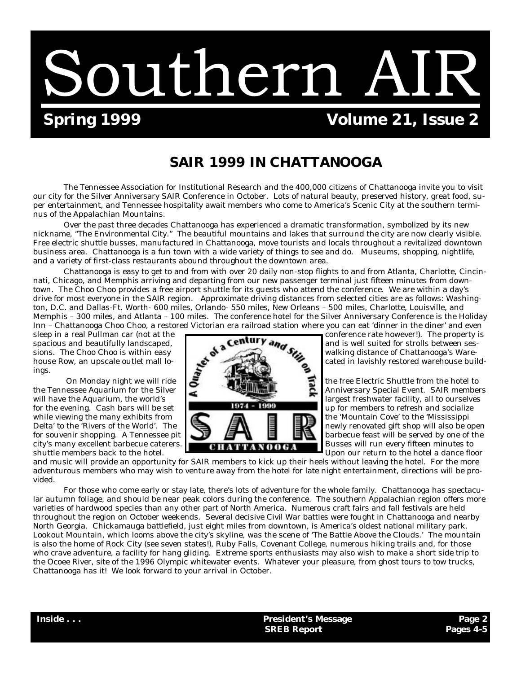Southern AIR

# **Spring 1999 Colume 21, Issue 2**

## **SAIR 1999 IN CHATTANOOGA**

The Tennessee Association for Institutional Research and the 400,000 citizens of Chattanooga invite you to visit our city for the Silver Anniversary SAIR Conference in October. Lots of natural beauty, preserved history, great food, super entertainment, and Tennessee hospitality await members who come to America's Scenic City at the southern terminus of the Appalachian Mountains.

Over the past three decades Chattanooga has experienced a dramatic transformation, symbolized by its new nickname, "The Environmental City." The beautiful mountains and lakes that surround the city are now clearly visible. Free electric shuttle busses, manufactured in Chattanooga, move tourists and locals throughout a revitalized downtown business area. Chattanooga is a fun town with a wide variety of things to see and do. Museums, shopping, nightlife, and a variety of first-class restaurants abound throughout the downtown area.

Chattanooga is easy to get to and from with over 20 daily non-stop flights to and from Atlanta, Charlotte, Cincinnati, Chicago, and Memphis arriving and departing from our new passenger terminal just fifteen minutes from downtown. The Choo Choo provides a free airport shuttle for its guests who attend the conference. We are within a day's drive for most everyone in the SAIR region. Approximate driving distances from selected cities are as follows: Washington, D.C. and Dallas-Ft. Worth- 600 miles, Orlando- 550 miles, New Orleans – 500 miles, Charlotte, Louisville, and Memphis – 300 miles, and Atlanta – 100 miles. The conference hotel for the Silver Anniversary Conference is the Holiday Inn – Chattanooga Choo Choo, a restored Victorian era railroad station where you can eat 'dinner in the diner' and even

ings.



sleep in a real Pullman car (not at the conference rate however!). The property is spacious and beautifully landscaped.  $\bullet$   $\bullet$   $\bullet$   $\bullet$   $\bullet$  and is well suited for strolls between sessions. The Choo Choo is within easy  $\mathbb{R}^{\bullet}$  walking distance of Chattanooga's Warehouse Row, an upscale outlet mall lo- cated in lavishly restored warehouse build-

On Monday night we will ride to the Silver the Silver to the free Electric Shuttle from the hotel to Anniversary Special Event. SAIR member the Tennessee Aquarium for the Silver Anniversary Special Event. SAIR members will have the Aquarium, the world's **interest of the actual team of the United States** largest freshwater facility, all to ourselves for the evening. Cash bars will be set **1974 - 1999** up for members to refresh and socialize while viewing the many exhibits from  $\Box$   $\Box$   $\Box$  the 'Mountain Cove' to the 'Mississippi Delta' to the 'Rivers of the World'. The  $\Box$   $\Box$   $\Box$   $\Box$   $\Box$  newly renovated gift shop will also be open for souvenir shopping. A Tennessee pit  $\Box$   $\Box$   $\Box$   $\Box$   $\Box$   $\Box$   $\Box$  barbecue feast will be served by one of the city's many excellent barbecue caterers. Busses will run every fifteen minutes to shuttle members back to the hotel. **Upon the set of the set of the set of the set of the hotel a dance floor** 

and music will provide an opportunity for SAIR members to kick up their heels without leaving the hotel. For the more adventurous members who may wish to venture away from the hotel for late night entertainment, directions will be provided.

For those who come early or stay late, there's lots of adventure for the whole family. Chattanooga has spectacular autumn foliage, and should be near peak colors during the conference. The southern Appalachian region offers more varieties of hardwood species than any other part of North America. Numerous craft fairs and fall festivals are held throughout the region on October weekends. Several decisive Civil War battles were fought in Chattanooga and nearby North Georgia. Chickamauga battlefield, just eight miles from downtown, is America's oldest national military park. Lookout Mountain, which looms above the city's skyline, was the scene of 'The Battle Above the Clouds.' The mountain is also the home of Rock City (see seven states!), Ruby Falls, Covenant College, numerous hiking trails and, for those who crave adventure, a facility for hang gliding. Extreme sports enthusiasts may also wish to make a short side trip to the Ocoee River, site of the 1996 Olympic whitewater events. Whatever your pleasure, from ghost tours to tow trucks, Chattanooga has it! We look forward to your arrival in October.

**Inside . . . President's Message Page 2 SREB Report Pages 4-5**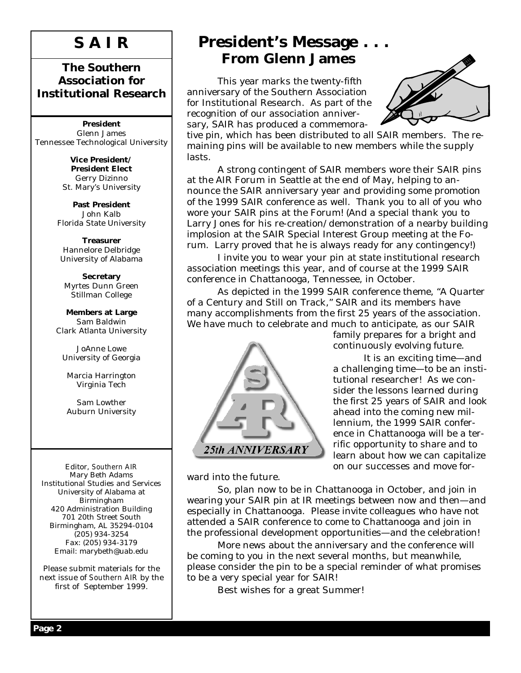# **S A I R**

## **The Southern Association for Institutional Research**

**President** Glenn James Tennessee Technological University

> **Vice President/ President Elect** Gerry Dizinno St. Mary's University

**Past President** John Kalb Florida State University

**Treasurer** Hannelore Delbridge University of Alabama

**Secretary** Myrtes Dunn Green Stillman College

**Members at Large** Sam Baldwin Clark Atlanta University

JoAnne Lowe University of Georgia

Marcia Harrington Virginia Tech

Sam Lowther Auburn University

Editor, *Southern AIR* Mary Beth Adams Institutional Studies and Services University of Alabama at Birmingham 420 Administration Building 701 20th Street South Birmingham, AL 35294-0104 (205) 934-3254 Fax: (205) 934-3179 Email: marybeth@uab.edu

Please submit materials for the next issue of *Southern AIR* by the first of September 1999.

# **President's Message . . . From Glenn James**

 This year marks the twenty-fifth anniversary of the Southern Association for Institutional Research. As part of the recognition of our association anniversary, SAIR has produced a commemora-



tive pin, which has been distributed to all SAIR members. The remaining pins will be available to new members while the supply lasts.

 A strong contingent of SAIR members wore their SAIR pins at the AIR Forum in Seattle at the end of May, helping to announce the SAIR anniversary year and providing some promotion of the 1999 SAIR conference as well. Thank you to all of you who wore your SAIR pins at the Forum! (And a special thank you to Larry Jones for his re-creation/demonstration of a nearby building implosion at the SAIR Special Interest Group meeting at the Forum. Larry proved that he is always ready for any contingency!)

 I invite you to wear your pin at state institutional research association meetings this year, and of course at the 1999 SAIR conference in Chattanooga, Tennessee, in October.

 As depicted in the 1999 SAIR conference theme, "A Quarter of a Century and Still on Track," SAIR and its members have many accomplishments from the first 25 years of the association. We have much to celebrate and much to anticipate, as our SAIR



family prepares for a bright and continuously evolving future.

 It is an exciting time— and a challenging time— to be an institutional researcher! As we consider the lessons learned during the first 25 years of SAIR and look ahead into the coming new millennium, the 1999 SAIR conference in Chattanooga will be a terrific opportunity to share and to learn about how we can capitalize on our successes and move for-

ward into the future.

 So, plan now to be in Chattanooga in October, and join in wearing your SAIR pin at IR meetings between now and then— and especially in Chattanooga. Please invite colleagues who have not attended a SAIR conference to come to Chattanooga and join in the professional development opportunities— and the celebration!

 More news about the anniversary and the conference will be coming to you in the next several months, but meanwhile, please consider the pin to be a special reminder of what promises to be a very special year for SAIR!

Best wishes for a great Summer!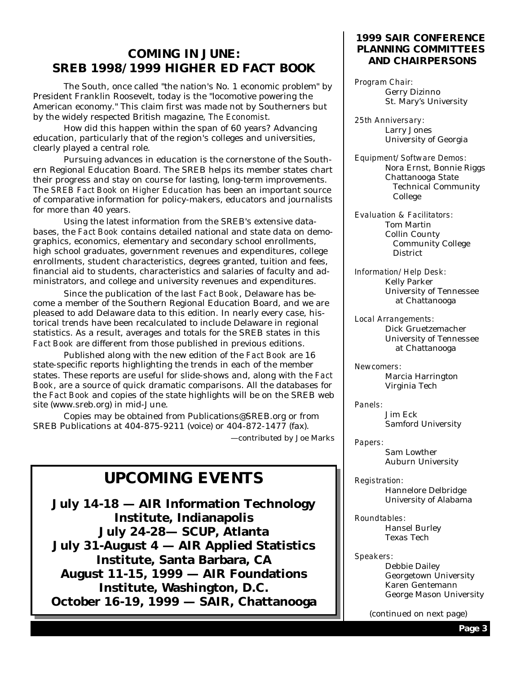## **COMING IN JUNE: SREB 1998/1999 HIGHER ED** *FACT BOOK*

 The South, once called "the nation's No. 1 economic problem" by President Franklin Roosevelt, today is the "locomotive powering the American economy." This claim first was made not by Southerners but by the widely respected British magazine, *The Economist*.

 How did this happen within the span of 60 years? Advancing education, particularly that of the region's colleges and universities, clearly played a central role.

 Pursuing advances in education is the cornerstone of the Southern Regional Education Board. The SREB helps its member states chart their progress and stay on course for lasting, long-term improvements. The *SREB Fact Book on Higher Education* has been an important source of comparative information for policy-makers, educators and journalists for more than 40 years.

 Using the latest information from the SREB's extensive databases, the *Fact Book* contains detailed national and state data on demographics, economics, elementary and secondary school enrollments, high school graduates, government revenues and expenditures, college enrollments, student characteristics, degrees granted, tuition and fees, financial aid to students, characteristics and salaries of faculty and administrators, and college and university revenues and expenditures.

 Since the publication of the last *Fact Book*, Delaware has become a member of the Southern Regional Education Board, and we are pleased to add Delaware data to this edition. In nearly every case, historical trends have been recalculated to include Delaware in regional statistics. As a result, averages and totals for the SREB states in this *Fact Book* are different from those published in previous editions.

 Published along with the new edition of the *Fact Book* are 16 state-specific reports highlighting the trends in each of the member states. These reports are useful for slide-shows and, along with the *Fact Book*, are a source of quick dramatic comparisons. All the databases for the *Fact Book* and copies of the state highlights will be on the SREB web site (www.sreb.org) in mid-June.

 Copies may be obtained from Publications@SREB.org or from SREB Publications at 404-875-9211 (voice) or 404-872-1477 (fax).

— contributed by Joe Marks

## **UPCOMING EVENTS**

**July 14-18 — AIR Information Technology Institute, Indianapolis July 24-28— SCUP, Atlanta July 31-August 4 — AIR Applied Statistics Institute, Santa Barbara, CA August 11-15, 1999 — AIR Foundations Institute, Washington, D.C. October 16-19, 1999 — SAIR, Chattanooga**

### **1999 SAIR CONFERENCE PLANNING COMMITTEES AND CHAIRPERSONS**

*Program Chair:* Gerry Dizinno St. Mary's University

*25th Anniversary:* Larry Jones University of Georgia

*Equipment/Software Demos:* Nora Ernst, Bonnie Riggs Chattanooga State Technical Community College

*Evaluation & Facilitators:* Tom Martin Collin County Community College District

*Information/Help Desk:* Kelly Parker University of Tennessee at Chattanooga

*Local Arrangements:* Dick Gruetzemacher University of Tennessee at Chattanooga

*Newcomers:* Marcia Harrington Virginia Tech

*Panels:* Jim Eck Samford University

*Papers:* Sam Lowther Auburn University

*Registration:* Hannelore Delbridge University of Alabama

*Roundtables:* Hansel Burley Texas Tech

*Speakers:*

 Debbie Dailey Georgetown University Karen Gentemann George Mason University

(continued on next page)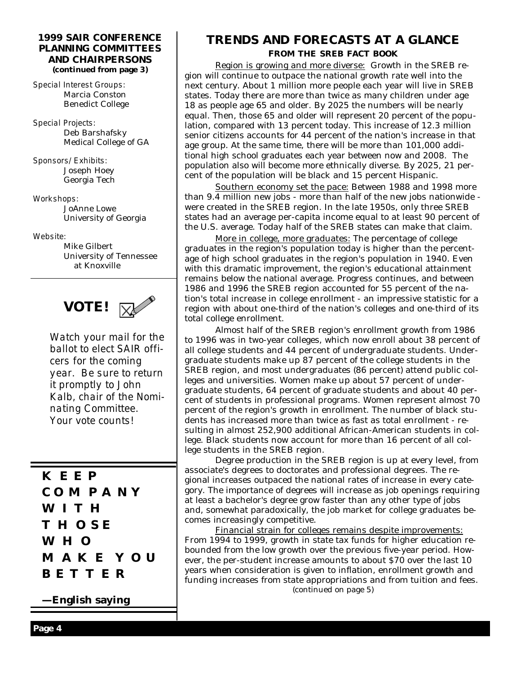#### **1999 SAIR CONFERENCE PLANNING COMMITTEES AND CHAIRPERSONS (continued from page 3)**

*Special Interest Groups:* Marcia Conston Benedict College

*Special Projects:* Deb Barshafsky Medical College of GA

*Sponsors/Exhibits:* Joseph Hoey Georgia Tech

*Workshops:* JoAnne Lowe University of Georgia

*Website:*

 Mike Gilbert University of Tennessee at Knoxville



*Watch your mail for the ballot to elect SAIR officers for the coming year. Be sure to return it promptly to John Kalb, chair of the Nominating Committee. Your vote counts!*

**KEEP COMPANY WITH THOSE WHO MAKE YOU BETTER**

**— English saying**

## **TRENDS AND FORECASTS AT A GLANCE FROM THE SREB** *FACT BOOK*

 Region is growing and more diverse: Growth in the SREB region will continue to outpace the national growth rate well into the next century. About 1 million more people each year will live in SREB states. Today there are more than twice as many children under age 18 as people age 65 and older. By 2025 the numbers will be nearly equal. Then, those 65 and older will represent 20 percent of the population, compared with 13 percent today. This increase of 12.3 million senior citizens accounts for 44 percent of the nation's increase in that age group. At the same time, there will be more than 101,000 additional high school graduates each year between now and 2008. The population also will become more ethnically diverse. By 2025, 21 percent of the population will be black and 15 percent Hispanic.

 Southern economy set the pace: Between 1988 and 1998 more than 9.4 million new jobs - more than half of the new jobs nationwide were created in the SREB region. In the late 1950s, only three SREB states had an average per-capita income equal to at least 90 percent of the U.S. average. Today half of the SREB states can make that claim.

 More in college, more graduates: The percentage of college graduates in the region's population today is higher than the percentage of high school graduates in the region's population in 1940. Even with this dramatic improvement, the region's educational attainment remains below the national average. Progress continues, and between 1986 and 1996 the SREB region accounted for 55 percent of the nation's total increase in college enrollment - an impressive statistic for a region with about one-third of the nation's colleges and one-third of its total college enrollment.

 Almost half of the SREB region's enrollment growth from 1986 to 1996 was in two-year colleges, which now enroll about 38 percent of all college students and 44 percent of undergraduate students. Undergraduate students make up 87 percent of the college students in the SREB region, and most undergraduates (86 percent) attend public colleges and universities. Women make up about 57 percent of undergraduate students, 64 percent of graduate students and about 40 percent of students in professional programs. Women represent almost 70 percent of the region's growth in enrollment. The number of black students has increased more than twice as fast as total enrollment - resulting in almost 252,900 additional African-American students in college. Black students now account for more than 16 percent of all college students in the SREB region.

 Degree production in the SREB region is up at every level, from associate's degrees to doctorates and professional degrees. The regional increases outpaced the national rates of increase in every category. The importance of degrees will increase as job openings requiring at least a bachelor's degree grow faster than any other type of jobs and, somewhat paradoxically, the job market for college graduates becomes increasingly competitive.

 Financial strain for colleges remains despite improvements: From 1994 to 1999, growth in state tax funds for higher education rebounded from the low growth over the previous five-year period. However, the per-student increase amounts to about \$70 over the last 10 years when consideration is given to inflation, enrollment growth and funding increases from state appropriations and from tuition and fees. (continued on page 5)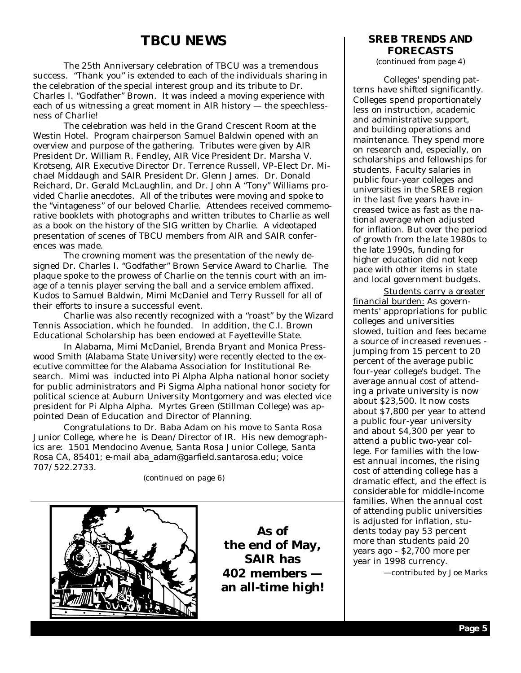## **TBCU NEWS**

 The 25th Anniversary celebration of TBCU was a tremendous success. "Thank you" is extended to each of the individuals sharing in the celebration of the special interest group and its tribute to Dr. Charles I. "Godfather" Brown. It was indeed a moving experience with each of us witnessing a great moment in AIR history - the speechlessness of Charlie!

 The celebration was held in the Grand Crescent Room at the Westin Hotel. Program chairperson Samuel Baldwin opened with an overview and purpose of the gathering. Tributes were given by AIR President Dr. William R. Fendley, AIR Vice President Dr. Marsha V. Krotseng, AIR Executive Director Dr. Terrence Russell, VP-Elect Dr. Michael Middaugh and SAIR President Dr. Glenn James. Dr. Donald Reichard, Dr. Gerald McLaughlin, and Dr. John A "Tony" Williams provided Charlie anecdotes. All of the tributes were moving and spoke to the "vintageness" of our beloved Charlie. Attendees received commemorative booklets with photographs and written tributes to Charlie as well as a book on the history of the SIG written by Charlie. A videotaped presentation of scenes of TBCU members from AIR and SAIR conferences was made.

 The crowning moment was the presentation of the newly designed Dr. Charles I. "Godfather" Brown Service Award to Charlie. The plaque spoke to the prowess of Charlie on the tennis court with an image of a tennis player serving the ball and a service emblem affixed. Kudos to Samuel Baldwin, Mimi McDaniel and Terry Russell for all of their efforts to insure a successful event.

 Charlie was also recently recognized with a "roast" by the Wizard Tennis Association, which he founded. In addition, the C.I. Brown Educational Scholarship has been endowed at Fayetteville State.

 In Alabama, Mimi McDaniel, Brenda Bryant and Monica Presswood Smith (Alabama State University) were recently elected to the executive committee for the Alabama Association for Institutional Research. Mimi was inducted into Pi Alpha Alpha national honor society for public administrators and Pi Sigma Alpha national honor society for political science at Auburn University Montgomery and was elected vice president for Pi Alpha Alpha. Myrtes Green (Stillman College) was appointed Dean of Education and Director of Planning.

 Congratulations to Dr. Baba Adam on his move to Santa Rosa Junior College, where he is Dean/Director of IR. His new demographics are: 1501 Mendocino Avenue, Santa Rosa Junior College, Santa Rosa CA, 85401; e-mail aba\_adam@garfield.santarosa.edu; voice 707/522.2733.

(continued on page 6)



**As of the end of May, SAIR has 402 members an all-time high!**

## **FORECASTS SREB TRENDS AND**

(continued from page 4)

 Colleges' spending patterns have shifted significantly. Colleges spend proportionately less on instruction, academic and administrative support, and building operations and maintenance. They spend more on research and, especially, on scholarships and fellowships for students. Faculty salaries in public four-year colleges and universities in the SREB region in the last five years have increased twice as fast as the national average when adjusted for inflation. But over the period of growth from the late 1980s to the late 1990s, funding for higher education did not keep pace with other items in state and local government budgets.

 Students carry a greater financial burden: As governments' appropriations for public colleges and universities slowed, tuition and fees became a source of increased revenues jumping from 15 percent to 20 percent of the average public four-year college's budget. The average annual cost of attending a private university is now about \$23,500. It now costs about \$7,800 per year to attend a public four-year university and about \$4,300 per year to attend a public two-year college. For families with the lowest annual incomes, the rising cost of attending college has a dramatic effect, and the effect is considerable for middle-income families. When the annual cost of attending public universities is adjusted for inflation, students today pay 53 percent more than students paid 20 years ago - \$2,700 more per year in 1998 currency.

— contributed by Joe Marks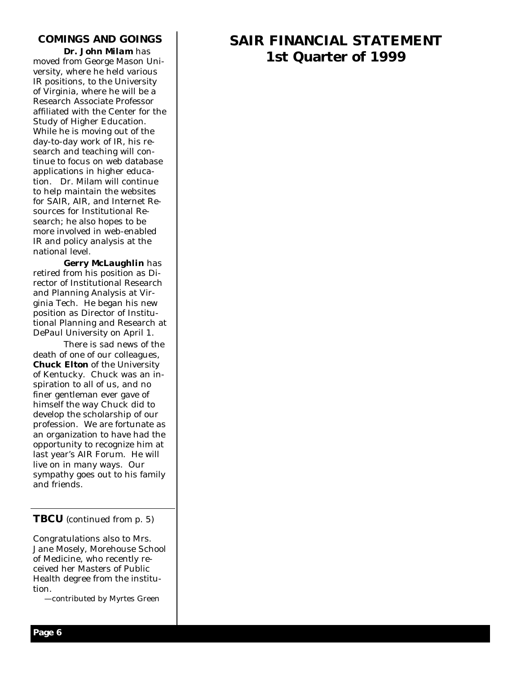### **COMINGS AND GOINGS**

 *Dr. John Milam* has moved from George Mason University, where he held various IR positions, to the University of Virginia, where he will be a Research Associate Professor affiliated with the Center for the Study of Higher Education. While he is moving out of the day-to-day work of IR, his research and teaching will continue to focus on web database applications in higher education. Dr. Milam will continue to help maintain the websites for SAIR, AIR, and Internet Resources for Institutional Research; he also hopes to be more involved in web-enabled IR and policy analysis at the national level.

 *Gerry McLaughlin* has retired from his position as Director of Institutional Research and Planning Analysis at Virginia Tech. He began his new position as Director of Institutional Planning and Research at DePaul University on April 1.

 There is sad news of the death of one of our colleagues, *Chuck Elton* of the University of Kentucky. Chuck was an inspiration to all of us, and no finer gentleman ever gave of himself the way Chuck did to develop the scholarship of our profession. We are fortunate as an organization to have had the opportunity to recognize him at last year's AIR Forum. He will live on in many ways. Our sympathy goes out to his family and friends.

### **TBCU** (continued from p. 5)

Congratulations also to Mrs. Jane Mosely, Morehouse School of Medicine, who recently received her Masters of Public Health degree from the institution.

— contributed by Myrtes Green

## **SAIR FINANCIAL STATEMENT 1st Quarter of 1999**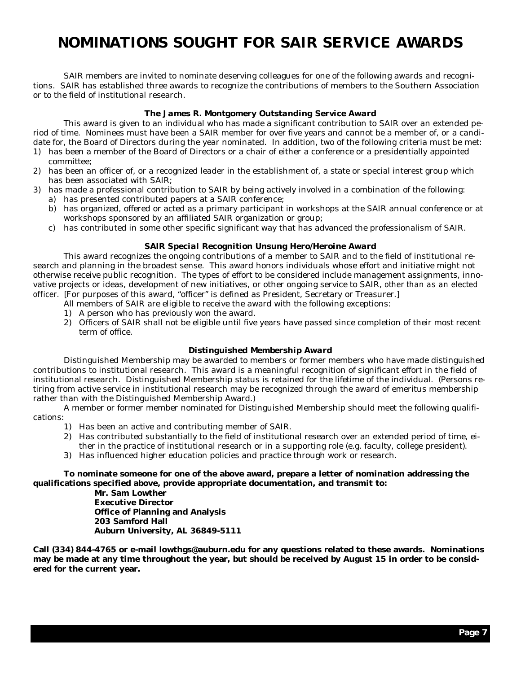# **NOMINATIONS SOUGHT FOR SAIR SERVICE AWARDS**

SAIR members are invited to nominate deserving colleagues for one of the following awards and recognitions. SAIR has established three awards to recognize the contributions of members to the Southern Association or to the field of institutional research.

#### *The James R. Montgomery Outstanding Service Award*

 This award is given to an individual who has made a significant contribution to SAIR over an extended period of time. Nominees must have been a SAIR member for over five years and cannot be a member of, or a candidate for, the Board of Directors during the year nominated. In addition, two of the following criteria must be met:

- 1) has been a member of the Board of Directors or a chair of either a conference or a presidentially appointed committee;
- 2) has been an officer of, or a recognized leader in the establishment of, a state or special interest group which has been associated with SAIR;
- 3) has made a professional contribution to SAIR by being actively involved in a combination of the following:
	- a) has presented contributed papers at a SAIR conference;
	- b) has organized, offered or acted as a primary participant in workshops at the SAIR annual conference or at workshops sponsored by an affiliated SAIR organization or group;
	- c) has contributed in some other specific significant way that has advanced the professionalism of SAIR.

#### *SAIR Special Recognition Unsung Hero/Heroine Award*

 This award recognizes the ongoing contributions of a member to SAIR and to the field of institutional research and planning in the broadest sense. This award honors individuals whose effort and initiative might not otherwise receive public recognition. The types of effort to be considered include management assignments, innovative projects or ideas, development of new initiatives, or other ongoing service to SAIR, *other than as an elected officer.* [For purposes of this award, "officer" is defined as President, Secretary or Treasurer.]

- All members of SAIR are eligible to receive the award with the following exceptions:
- 1) A person who has previously won the award.
- 2) Officers of SAIR shall not be eligible until five years have passed since completion of their most recent term of office.

#### *Distinguished Membership Award*

 Distinguished Membership may be awarded to members or former members who have made distinguished contributions to institutional research. This award is a meaningful recognition of significant effort in the field of institutional research. Distinguished Membership status is retained for the lifetime of the individual. (Persons retiring from active service in institutional research may be recognized through the award of emeritus membership rather than with the Distinguished Membership Award.)

A member or former member nominated for Distinguished Membership should meet the following qualifications:

- 1) Has been an active and contributing member of SAIR.
- 2) Has contributed substantially to the field of institutional research over an extended period of time, either in the practice of institutional research or in a supporting role (e.g. faculty, college president).
- 3) Has influenced higher education policies and practice through work or research.

#### **To nominate someone for one of the above award, prepare a letter of nomination addressing the qualifications specified above, provide appropriate documentation, and transmit to:**

 **Mr. Sam Lowther Executive Director Office of Planning and Analysis 203 Samford Hall Auburn University, AL 36849-5111**

**Call (334) 844-4765 or e-mail lowthgs@auburn.edu for any questions related to these awards. Nominations may be made at any time throughout the year, but should be received by August 15 in order to be considered for the current year.**